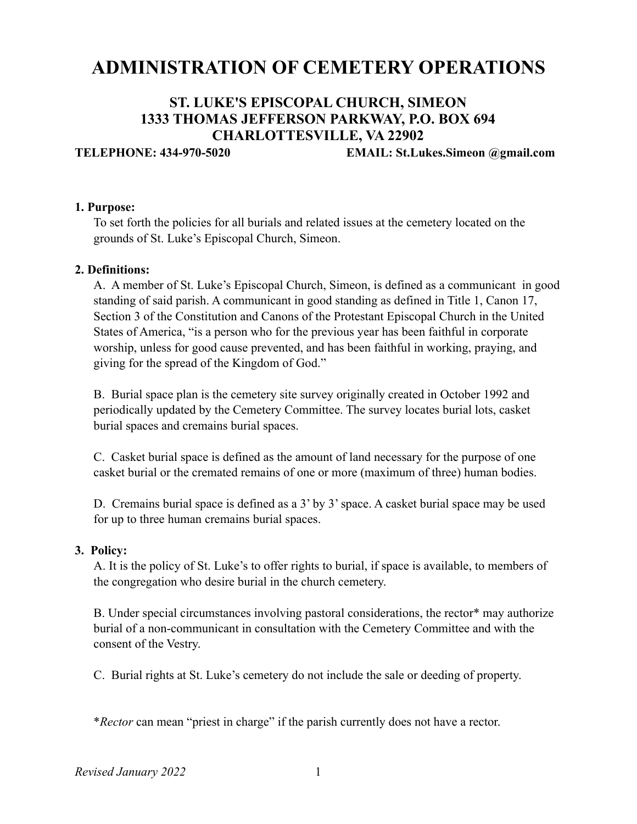# **ADMINISTRATION OF CEMETERY OPERATIONS**

# **ST. LUKE'S EPISCOPAL CHURCH, SIMEON 1333 THOMAS JEFFERSON PARKWAY, P.O. BOX 694 CHARLOTTESVILLE, VA 22902**

**TELEPHONE: 434-970-5020 EMAIL: St.Lukes.Simeon @gmail.com**

#### **1. Purpose:**

 To set forth the policies for all burials and related issues at the cemetery located on the grounds of St. Luke's Episcopal Church, Simeon.

#### **2. Definitions:**

 A. A member of St. Luke's Episcopal Church, Simeon, is defined as a communicant in good standing of said parish. A communicant in good standing as defined in Title 1, Canon 17, Section 3 of the Constitution and Canons of the Protestant Episcopal Church in the United States of America, "is a person who for the previous year has been faithful in corporate worship, unless for good cause prevented, and has been faithful in working, praying, and giving for the spread of the Kingdom of God."

 B. Burial space plan is the cemetery site survey originally created in October 1992 and periodically updated by the Cemetery Committee. The survey locates burial lots, casket burial spaces and cremains burial spaces.

 C. Casket burial space is defined as the amount of land necessary for the purpose of one casket burial or the cremated remains of one or more (maximum of three) human bodies.

 D. Cremains burial space is defined as a 3' by 3' space. A casket burial space may be used for up to three human cremains burial spaces.

#### **3. Policy:**

 A. It is the policy of St. Luke's to offer rights to burial, if space is available, to members of the congregation who desire burial in the church cemetery.

 B. Under special circumstances involving pastoral considerations, the rector\* may authorize burial of a non-communicant in consultation with the Cemetery Committee and with the consent of the Vestry.

C. Burial rights at St. Luke's cemetery do not include the sale or deeding of property.

\**Rector* can mean "priest in charge" if the parish currently does not have a rector.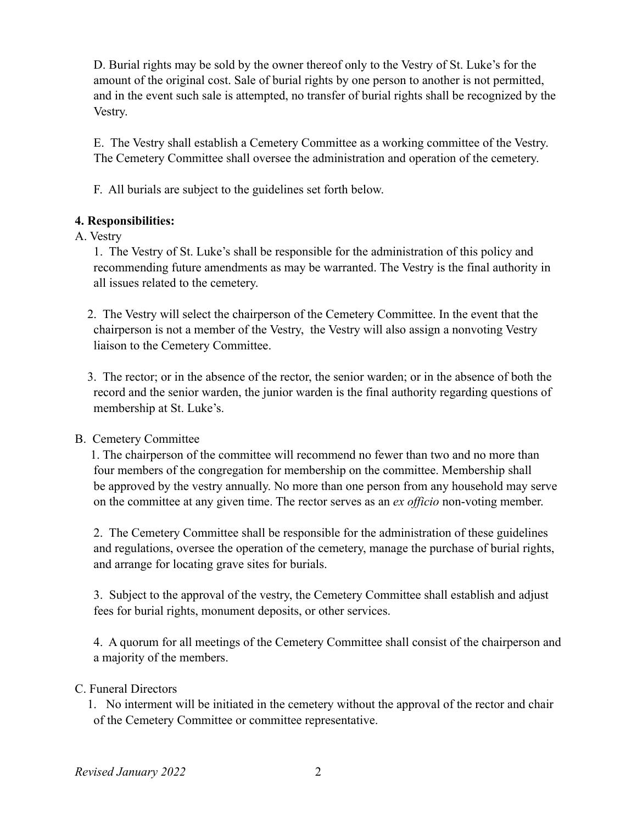D. Burial rights may be sold by the owner thereof only to the Vestry of St. Luke's for the amount of the original cost. Sale of burial rights by one person to another is not permitted, and in the event such sale is attempted, no transfer of burial rights shall be recognized by the Vestry.

 E. The Vestry shall establish a Cemetery Committee as a working committee of the Vestry. The Cemetery Committee shall oversee the administration and operation of the cemetery.

F. All burials are subject to the guidelines set forth below.

# **4. Responsibilities:**

# A. Vestry

 1. The Vestry of St. Luke's shall be responsible for the administration of this policy and recommending future amendments as may be warranted. The Vestry is the final authority in all issues related to the cemetery.

- 2. The Vestry will select the chairperson of the Cemetery Committee. In the event that the chairperson is not a member of the Vestry, the Vestry will also assign a nonvoting Vestry liaison to the Cemetery Committee.
- 3. The rector; or in the absence of the rector, the senior warden; or in the absence of both the record and the senior warden, the junior warden is the final authority regarding questions of membership at St. Luke's.

# B. Cemetery Committee

1. The chairperson of the committee will recommend no fewer than two and no more than four members of the congregation for membership on the committee. Membership shall be approved by the vestry annually. No more than one person from any household may serve on the committee at any given time. The rector serves as an *ex officio* non-voting member.

 2. The Cemetery Committee shall be responsible for the administration of these guidelines and regulations, oversee the operation of the cemetery, manage the purchase of burial rights, and arrange for locating grave sites for burials.

 3. Subject to the approval of the vestry, the Cemetery Committee shall establish and adjust fees for burial rights, monument deposits, or other services.

 4. A quorum for all meetings of the Cemetery Committee shall consist of the chairperson and a majority of the members.

## C. Funeral Directors

 1. No interment will be initiated in the cemetery without the approval of the rector and chair of the Cemetery Committee or committee representative.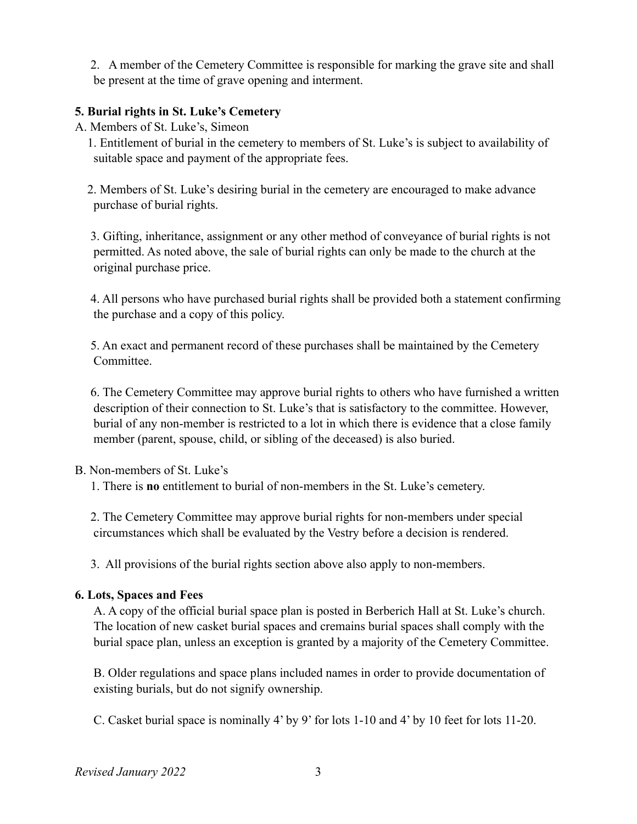2. A member of the Cemetery Committee is responsible for marking the grave site and shall be present at the time of grave opening and interment.

#### **5. Burial rights in St. Luke's Cemetery**

A. Members of St. Luke's, Simeon

 1. Entitlement of burial in the cemetery to members of St. Luke's is subject to availability of suitable space and payment of the appropriate fees.

 2. Members of St. Luke's desiring burial in the cemetery are encouraged to make advance purchase of burial rights.

 3. Gifting, inheritance, assignment or any other method of conveyance of burial rights is not permitted. As noted above, the sale of burial rights can only be made to the church at the original purchase price.

 4. All persons who have purchased burial rights shall be provided both a statement confirming the purchase and a copy of this policy.

 5. An exact and permanent record of these purchases shall be maintained by the Cemetery Committee.

 6. The Cemetery Committee may approve burial rights to others who have furnished a written description of their connection to St. Luke's that is satisfactory to the committee. However, burial of any non-member is restricted to a lot in which there is evidence that a close family member (parent, spouse, child, or sibling of the deceased) is also buried.

- B. Non-members of St. Luke's
	- 1. There is **no** entitlement to burial of non-members in the St. Luke's cemetery.

 2. The Cemetery Committee may approve burial rights for non-members under special circumstances which shall be evaluated by the Vestry before a decision is rendered.

3. All provisions of the burial rights section above also apply to non-members.

#### **6. Lots, Spaces and Fees**

 A. A copy of the official burial space plan is posted in Berberich Hall at St. Luke's church. The location of new casket burial spaces and cremains burial spaces shall comply with the burial space plan, unless an exception is granted by a majority of the Cemetery Committee.

 B. Older regulations and space plans included names in order to provide documentation of existing burials, but do not signify ownership.

C. Casket burial space is nominally 4' by 9' for lots 1-10 and 4' by 10 feet for lots 11-20.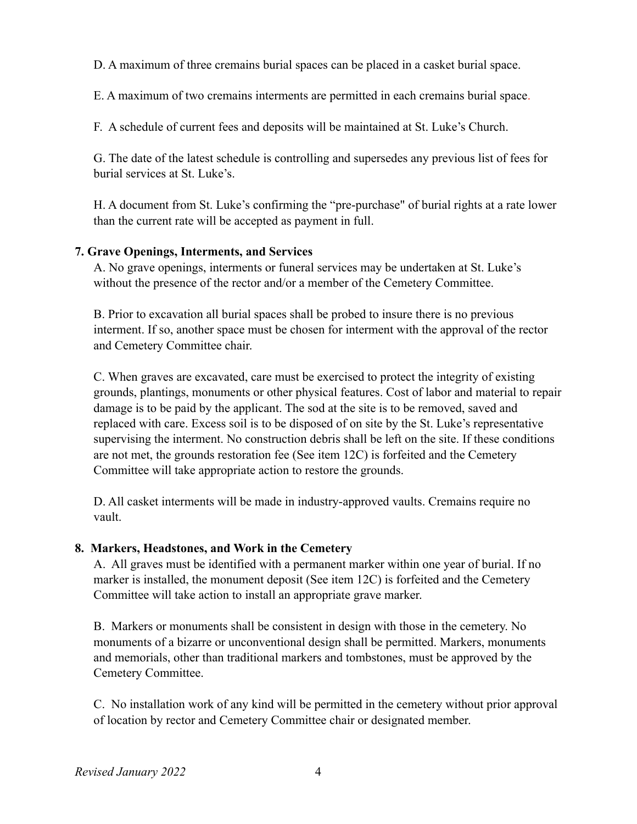D. A maximum of three cremains burial spaces can be placed in a casket burial space.

E. A maximum of two cremains interments are permitted in each cremains burial space.

F. A schedule of current fees and deposits will be maintained at St. Luke's Church.

 G. The date of the latest schedule is controlling and supersedes any previous list of fees for burial services at St. Luke's.

 H. A document from St. Luke's confirming the "pre-purchase" of burial rights at a rate lower than the current rate will be accepted as payment in full.

## **7. Grave Openings, Interments, and Services**

A. No grave openings, interments or funeral services may be undertaken at St. Luke's without the presence of the rector and/or a member of the Cemetery Committee.

 B. Prior to excavation all burial spaces shall be probed to insure there is no previous interment. If so, another space must be chosen for interment with the approval of the rector and Cemetery Committee chair.

 C. When graves are excavated, care must be exercised to protect the integrity of existing grounds, plantings, monuments or other physical features. Cost of labor and material to repair damage is to be paid by the applicant. The sod at the site is to be removed, saved and replaced with care. Excess soil is to be disposed of on site by the St. Luke's representative supervising the interment. No construction debris shall be left on the site. If these conditions are not met, the grounds restoration fee (See item 12C) is forfeited and the Cemetery Committee will take appropriate action to restore the grounds.

 D. All casket interments will be made in industry-approved vaults. Cremains require no vault.

#### **8. Markers, Headstones, and Work in the Cemetery**

 A. All graves must be identified with a permanent marker within one year of burial. If no marker is installed, the monument deposit (See item 12C) is forfeited and the Cemetery Committee will take action to install an appropriate grave marker.

 B. Markers or monuments shall be consistent in design with those in the cemetery. No monuments of a bizarre or unconventional design shall be permitted. Markers, monuments and memorials, other than traditional markers and tombstones, must be approved by the Cemetery Committee.

 C. No installation work of any kind will be permitted in the cemetery without prior approval of location by rector and Cemetery Committee chair or designated member.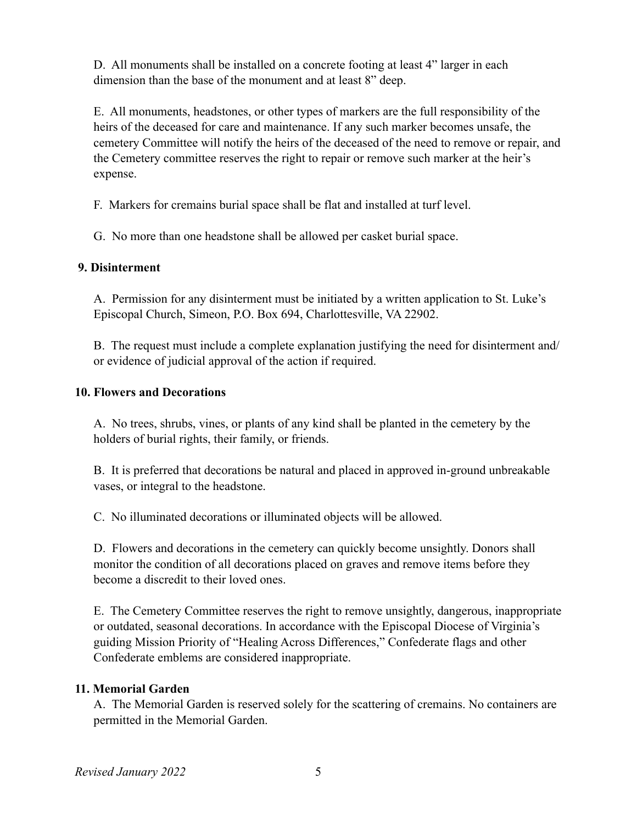D. All monuments shall be installed on a concrete footing at least 4" larger in each dimension than the base of the monument and at least 8" deep.

 E. All monuments, headstones, or other types of markers are the full responsibility of the heirs of the deceased for care and maintenance. If any such marker becomes unsafe, the cemetery Committee will notify the heirs of the deceased of the need to remove or repair, and the Cemetery committee reserves the right to repair or remove such marker at the heir's expense.

F. Markers for cremains burial space shall be flat and installed at turf level.

G. No more than one headstone shall be allowed per casket burial space.

#### **9. Disinterment**

 A. Permission for any disinterment must be initiated by a written application to St. Luke's Episcopal Church, Simeon, P.O. Box 694, Charlottesville, VA 22902.

 B. The request must include a complete explanation justifying the need for disinterment and/ or evidence of judicial approval of the action if required.

#### **10. Flowers and Decorations**

 A. No trees, shrubs, vines, or plants of any kind shall be planted in the cemetery by the holders of burial rights, their family, or friends.

 B. It is preferred that decorations be natural and placed in approved in-ground unbreakable vases, or integral to the headstone.

C. No illuminated decorations or illuminated objects will be allowed.

 D. Flowers and decorations in the cemetery can quickly become unsightly. Donors shall monitor the condition of all decorations placed on graves and remove items before they become a discredit to their loved ones.

 E. The Cemetery Committee reserves the right to remove unsightly, dangerous, inappropriate or outdated, seasonal decorations. In accordance with the Episcopal Diocese of Virginia's guiding Mission Priority of "Healing Across Differences," Confederate flags and other Confederate emblems are considered inappropriate.

#### **11. Memorial Garden**

 A. The Memorial Garden is reserved solely for the scattering of cremains. No containers are permitted in the Memorial Garden.